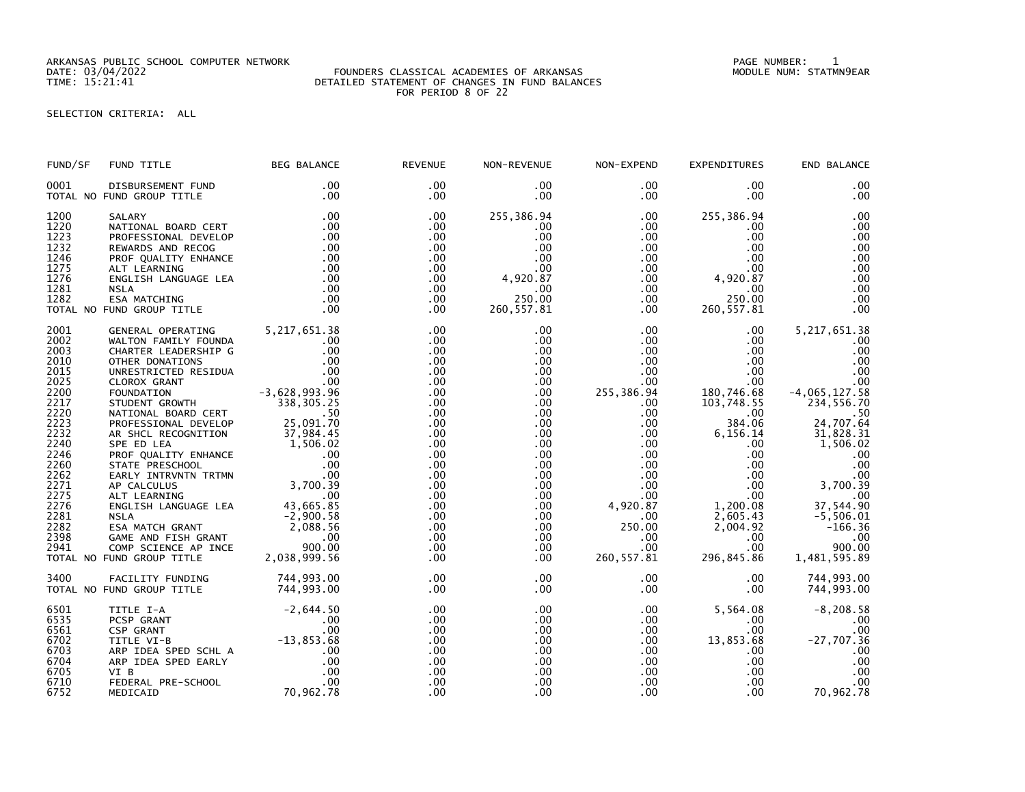ARKANSAS PUBLIC SCHOOL COMPUTER NETWORK PAGE NUMBER: 1

#### DATE: 03/04/2022 FOUNDERS CLASSICAL ACADEMIES OF ARKANSAS MODULE NUM: STATMN9EAR TIME: 15:21:41 DETAILED STATEMENT OF CHANGES IN FUND BALANCES FOR PERIOD 8 OF 22

SELECTION CRITERIA: ALL

| FUND/SF | FUND TITLE                                                                                                                                                                                                                                                                    | <b>BEG BALANCE</b> | <b>REVENUE</b>  | NON-REVENUE            | NON-EXPEND       | <b>EXPENDITURES</b>        | END BALANCE     |
|---------|-------------------------------------------------------------------------------------------------------------------------------------------------------------------------------------------------------------------------------------------------------------------------------|--------------------|-----------------|------------------------|------------------|----------------------------|-----------------|
| 0001    | DISBURSEMENT FUND<br>TOTAL NO FUND GROUP TITLE                                                                                                                                                                                                                                | .00<br>.00         | .00<br>$.00 \,$ | $.00 \,$<br>.00        | $.00 \,$<br>.00  | .00<br>$.00 \times$        | .00<br>.00      |
| 1200    |                                                                                                                                                                                                                                                                               |                    | .00             | 255,386.94             | $.00 \,$         | 255,386.94                 | .00             |
| 1220    |                                                                                                                                                                                                                                                                               |                    | .00             | $.00 \,$               | $.00 \,$         | .00                        | .00             |
| 1223    |                                                                                                                                                                                                                                                                               |                    | .00             | .00                    | .00              | .00                        | .00             |
| 1232    |                                                                                                                                                                                                                                                                               |                    | .00             | .00                    | $.00\,$          | .00                        | .00             |
| 1246    |                                                                                                                                                                                                                                                                               |                    | $.00 \,$        | .00                    | .00              |                            | .00             |
| 1275    |                                                                                                                                                                                                                                                                               |                    | .00             |                        | .00              |                            | .00             |
| 1276    |                                                                                                                                                                                                                                                                               |                    | .00             | $00$<br>4,920.87<br>00 | $.00\,$          | $4,920.87$<br>0.00<br>0.00 | .00             |
| 1281    |                                                                                                                                                                                                                                                                               |                    | $.00 \,$        | .00                    | $.00 \,$         |                            | .00             |
| 1282    |                                                                                                                                                                                                                                                                               |                    | $.00 \,$        | 250.00                 | $.00 \,$         | 250.00                     | .00             |
|         | TOTAL NO FUND GROUP TITLE                                                                                                                                                                                                                                                     |                    | $.00 \,$        | 260, 557.81            | $.00 \,$         | 260, 557.81                | .00             |
| 2001    |                                                                                                                                                                                                                                                                               |                    | .00             | .00                    | $.00 \,$         | $.00 \,$                   | 5, 217, 651.38  |
| 2002    |                                                                                                                                                                                                                                                                               |                    | .00             | $.00 \,$               | $.00 \,$         | $.00 \cdot$                | .00             |
| 2003    | WALTON FAMILY FOUNDA<br>CHARTER LEADERSHIP G .00<br>CHARTER LEADERSHIP G .00<br>OTHER DONATIONS .00<br>UNRESTRICTED RESIDUA .00<br>CLOROX GRANT<br>FOUNDATION .00<br>STUDENT GROWTH .00<br>STUDENT GROWTH .00<br>338,305.25                                                   |                    | .00.            | .00                    | $.00 \,$         | $.00 \,$                   | .00             |
| 2010    |                                                                                                                                                                                                                                                                               |                    | .00             | .00                    | .00              | $.00 \,$                   | .00             |
| 2015    |                                                                                                                                                                                                                                                                               |                    | .00             | $.00 \,$               | $.00 \,$         | $.00 \,$                   | .00             |
| 2025    |                                                                                                                                                                                                                                                                               |                    | .00             | $.00 \,$               | $.00 \,$         | $.00 \,$                   | .00             |
| 2200    |                                                                                                                                                                                                                                                                               |                    | .00             | .00                    | 255,386.94       | 180,746.68                 | $-4,065,127.58$ |
| 2217    |                                                                                                                                                                                                                                                                               |                    | .00             | .00                    | $.00 \,$         | 103,748.55                 | 234,556.70      |
| 2220    | NATIONAL BOARD CERT                                                                                                                                                                                                                                                           | .50                | .00             | $.00 \,$               | $.00 \,$         | .00                        | .50             |
| 2223    | PROFESSIONAL DEVELOP                                                                                                                                                                                                                                                          | 50<br>25,091.70    | .00             | $.00 \,$               | $.00 \,$         | 384.06                     | 24,707.64       |
| 2232    |                                                                                                                                                                                                                                                                               |                    | .00             | $.00 \,$               | $.00 \,$         | 6,156.14                   | 31,828.31       |
| 2240    |                                                                                                                                                                                                                                                                               |                    | .00             | $.00 \,$               | $.00 \,$         | $.00 \,$                   | 1,506.02        |
| 2246    |                                                                                                                                                                                                                                                                               |                    | .00             | $.00 \,$               | $.00\,$          | $.00 \,$                   | .00             |
| 2260    |                                                                                                                                                                                                                                                                               |                    | .00             | .00.                   | $.00\,$          | .00                        | .00             |
| 2262    |                                                                                                                                                                                                                                                                               |                    | .00             | $.00 \,$               | .00              | .00                        | .00             |
| 2271    |                                                                                                                                                                                                                                                                               |                    | .00             | .00 <sub>1</sub>       | $.00 \ \,$       | $.00 \,$                   | 3,700.39        |
| 2275    |                                                                                                                                                                                                                                                                               |                    | .00             | $.00 \,$               | $.00 \,$         | $.00 \,$                   | .00             |
| 2276    |                                                                                                                                                                                                                                                                               |                    | .00             | $.00 \,$               | 4,920.87         | 1,200.08                   | 37,544.90       |
| 2281    |                                                                                                                                                                                                                                                                               |                    | .00             | $.00 \,$               | $.00 \,$         | 2,605.43                   | $-5,506.01$     |
| 2282    |                                                                                                                                                                                                                                                                               |                    | .00             | $.00 \,$               | 250.00           | 2,004.92                   | $-166.36$       |
| 2398    |                                                                                                                                                                                                                                                                               |                    | .00             | $.00 \,$               | $.00 \,$         | $.00 \,$                   | .00             |
| 2941    |                                                                                                                                                                                                                                                                               |                    | .00             | $.00 \,$               | .00 <sub>1</sub> | .00 <sub>1</sub>           | 900.00          |
|         | PROFESSIONAL DEVELOP 25,091.70<br>AR SHCL RECOGNITION 37,984.45<br>SPE ED LEA<br>PROF QUALITY ENHANCE .00<br>STATE PRESCHOOL .00<br>STATE PRESCHOOL .00<br>STATE PRESCHOOL .00<br>EARLY INTRVNTN TRTMN .00<br>AP CALCULUS 3,700.39<br>ALT LEARNI<br>TOTAL NO FUND GROUP TITLE |                    | .00             | .00                    | 260, 557.81      | 296,845.86                 | 1,481,595.89    |
| 3400    | FACILITY FUNDING                                                                                                                                                                                                                                                              | 744,993.00         | .00             | $.00 \,$               | $.00\,$          | .00.                       | 744,993.00      |
|         | TOTAL NO FUND GROUP TITLE                                                                                                                                                                                                                                                     | 744,993.00         | .00             | .00                    | $.00 \,$         | .00                        | 744,993.00      |
| 6501    | J GROUP 1<br>ITLE I-A -2,644.5<br>CSP GRANT .00<br>ITLE VI-B -13,853.68<br>ARP IDEA SPED SCHL A -13,853.68<br>ARP IDEA SPED EARLY .00<br>VT B -- SCHOOL .00<br>OC .00<br>OC .00<br>OC .00<br>OC .00<br>OC .00<br>OC .00<br>OC .00<br>OC .00<br>OC .00                         |                    | .00             | $.00 \,$               | .00              | 5,564.08                   | $-8, 208.58$    |
| 6535    |                                                                                                                                                                                                                                                                               |                    | .00             | $.00 \,$               | .00              | $.00 \,$                   | .00             |
| 6561    |                                                                                                                                                                                                                                                                               |                    | .00             | $.00 \,$               | $.00 \,$         | .00                        | .00             |
| 6702    |                                                                                                                                                                                                                                                                               |                    | .00             | $.00 \,$               | $.00 \,$         | 13,853.68                  | $-27,707.36$    |
| 6703    |                                                                                                                                                                                                                                                                               |                    | .00             | .00                    | .00              | $.00 \,$                   | .00             |
| 6704    |                                                                                                                                                                                                                                                                               |                    | .00             | $.00 \,$               | $.00 \,$         | $.00 \,$                   | .00             |
| 6705    |                                                                                                                                                                                                                                                                               |                    | .00             | .00                    | .00              | .00 <sub>1</sub>           | .00             |
| 6710    |                                                                                                                                                                                                                                                                               |                    | .00             | .00                    | $.00 \,$         | $.00 \,$                   | .00             |
| 6752    |                                                                                                                                                                                                                                                                               |                    | .00             | .00                    | .00              | .00                        | 70,962.78       |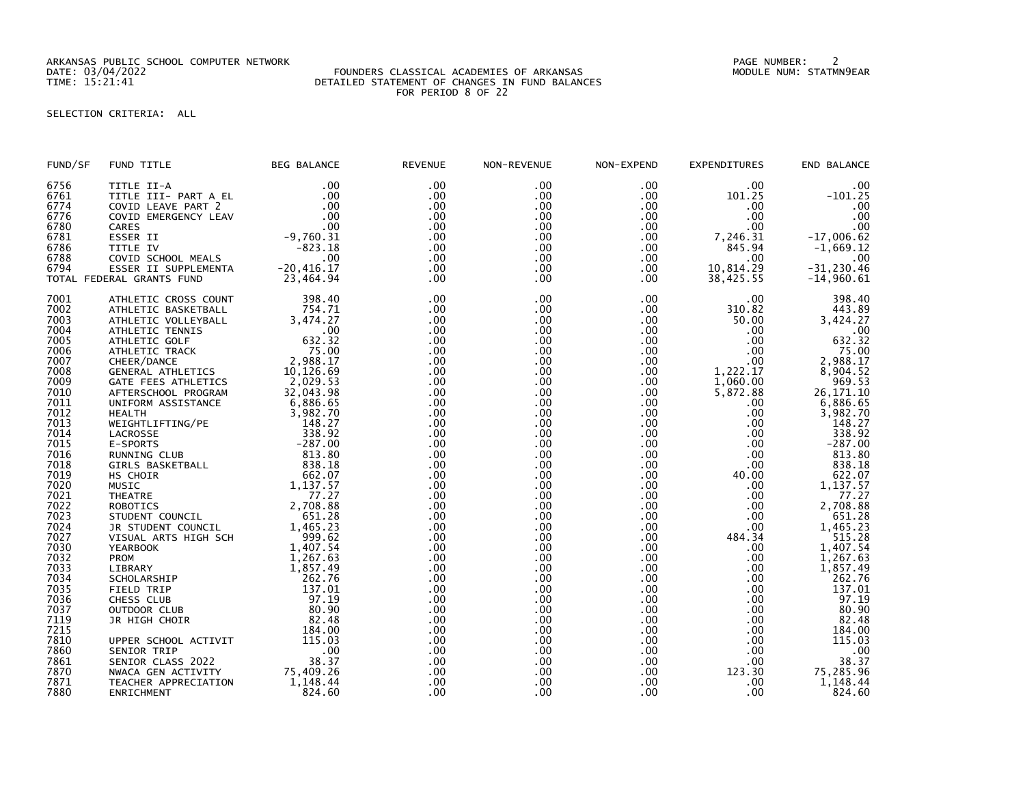ARKANSAS PUBLIC SCHOOL COMPUTER NETWORK PAGE NUMBER: 2

### DATE: 03/04/2022 FOUNDERS CLASSICAL ACADEMIES OF ARKANSAS MODULE NUM: STATMN9EAR TIME: 15:21:41 DETAILED STATEMENT OF CHANGES IN FUND BALANCES FOR PERIOD 8 OF 22

# SELECTION CRITERIA: ALL

| FUND/SF              | FUND TITLE                                               | <b>BEG BALANCE</b>   | <b>REVENUE</b>    | NON-REVENUE       | NON-EXPEND             | <b>EXPENDITURES</b>  | END BALANCE             |
|----------------------|----------------------------------------------------------|----------------------|-------------------|-------------------|------------------------|----------------------|-------------------------|
| 6756<br>6761<br>6774 | TITLE II-A<br>TITLE III- PART A EL<br>COVID LEAVE PART 2 | .00<br>.00<br>.00    | .00<br>.00<br>.00 | .00<br>.00<br>.00 | .00<br>$.00 \,$<br>.00 | .00<br>101.25<br>.00 | .00<br>$-101.25$<br>.00 |
| 6776                 | COVID EMERGENCY LEAV                                     | .00<br>.00           | $.00 \,$          | .00<br>.00        | .00<br>$.00 \,$        | .00<br>.00           | .00                     |
| 6780<br>6781         | CARES<br>ESSER II                                        | $-9,760.31$          | .00<br>.00        | .00               | $.00 \,$               | 7,246.31             | .00<br>$-17,006.62$     |
| 6786                 | TITLE IV                                                 | $-823.18$            | .00               | .00               | .00                    | 845.94               | $-1,669.12$             |
| 6788                 | COVID SCHOOL MEALS                                       | .00                  | $.00 \,$          | .00               | .00                    | .00                  | .00                     |
| 6794                 | ESSER II SUPPLEMENTA                                     | $-20, 416.17$        | .00<br>.00        | .00<br>.00        | $.00 \,$               | 10,814.29            | $-31, 230.46$           |
|                      | TOTAL FEDERAL GRANTS FUND                                | 23,464.94            |                   |                   | .00                    | 38,425.55            | $-14,960.61$            |
| 7001                 | ATHLETIC CROSS COUNT                                     | 398.40               | .00               | .00               | .00 <sub>1</sub>       | .00                  | 398.40                  |
| 7002<br>7003         | ATHLETIC BASKETBALL                                      | 754.71<br>3,474.27   | .00<br>.00        | .00<br>.00        | $.00 \,$<br>$.00 \,$   | 310.82<br>50.00      | 443.89<br>3,424.27      |
| 7004                 | ATHLETIC VOLLEYBALL<br>ATHLETIC TENNIS                   | .00                  | .00               | .00               | .00                    | .00                  |                         |
| 7005                 | ATHLETIC GOLF                                            | 632.32               | .00.              | .00               | .00 <sub>1</sub>       | $.00 \,$             | $\overline{632.32}$     |
| 7006                 | ATHLETIC TRACK                                           | 75.00                | .00               | .00               | $.00 \,$               | .00                  | 75.00                   |
| 7007                 | CHEER/DANCE                                              | 2,988.17             | .00               | .00               | $.00 \,$               | .00.                 | 2,988.17                |
| 7008                 | <b>GENERAL ATHLETICS</b>                                 | 10,126.69            | .00               | .00               | .00                    |                      | 8,904.52                |
| 7009                 | GATE FEES ATHLETICS                                      | 2,029.53             | .00               | .00               | .00                    | 1,222.17<br>1,060.00 | 969.53                  |
| 7010                 | AFTERSCHOOL PROGRAM                                      | 32,043.98            | .00               | .00               | .00                    | 5,872.88             | 26, 171. 10             |
| 7011                 | UNIFORM ASSISTANCE                                       | 6,886.65             | .00               | .00               | $.00 \,$               | .00                  | 6,886.65                |
| 7012                 | <b>HEALTH</b>                                            | 3,982.70             | .00               | .00               | $.00 \,$               | .00                  | 3,982.70                |
| 7013                 | WEIGHTLIFTING/PE                                         | 148.27               | .00               | .00               | $.00 \times$           | .00                  | 148.27                  |
| 7014                 | LACROSSE                                                 | 338.92               | .00               | .00               | .00                    | .00                  | 338.92                  |
| 7015                 | E-SPORTS                                                 | $-287.00$<br>813.80  | .00               | .00               | .00                    | .00                  | $-287.00$               |
| 7016<br>7018         | RUNNING CLUB<br><b>GIRLS BASKETBALL</b>                  | 838.18               | .00<br>.00        | .00<br>.00        | $.00 \,$<br>.00        | .00<br>.00           | 813.80<br>838.18        |
| 7019                 | HS CHOIR                                                 | 662.07               | .00               | .00               | .00                    | 40.00                | 622.07                  |
| 7020                 | MUSIC                                                    | 1,137.57             | .00               | .00               | .00                    | .00                  | 1,137.57                |
| 7021                 | <b>THEATRE</b>                                           |                      | .00               | .00               | $.00 \,$               | .00                  | 77.27                   |
| 7022                 | <b>ROBOTICS</b>                                          | $77.27$<br>2,708.88  | .00               | .00               | .00 <sub>1</sub>       | .00                  | 2,708.88                |
| 7023                 | STUDENT COUNCIL                                          | 651.28               | .00               | .00               | .00                    | $.00 \,$             | 651.28                  |
| 7024                 | JR STUDENT COUNCIL                                       | 1,465.23             | .00               | .00               | .00                    | .00.                 | 1,465.23                |
| 7027                 | VISUAL ARTS HIGH SCH                                     | 999.62               | .00               | .00               | .00                    | 484.34               | 515.28                  |
| 7030                 | <b>YEARBOOK</b>                                          | 1,407.54             | .00               | .00               | .00.                   | .00                  | 1,407.54                |
| 7032                 | PROM                                                     | 1,267.63<br>1,857.49 | .00               | .00               | .00                    | .00                  | 1,267.63                |
| 7033                 | LIBRARY                                                  |                      | .00               | .00               | $.00 \,$               | .00                  | 1,857.49                |
| 7034<br>7035         | SCHOLARSHIP                                              | 262.76<br>137.01     | .00               | .00<br>.00        | .00 <sub>1</sub>       | .00<br>.00           | 262.76<br>137.01        |
| 7036                 | FIELD TRIP<br>CHESS CLUB                                 | 97.19                | .00<br>.00        | .00               | $.00 \,$<br>$.00 \,$   | .00                  | 97.19                   |
| 7037                 | OUTDOOR CLUB                                             | 80.90                | .00               | .00               | .00 <sub>1</sub>       | .00.                 | 80.90                   |
| 7119                 | JR HIGH CHOIR                                            | 82.48                | .00               | .00               | .00                    | .00.                 | 82.48                   |
| 7215                 |                                                          | 184.00               | .00               | .00               | .00                    | .00.                 | 184.00                  |
| 7810                 | UPPER SCHOOL ACTIVIT                                     | 115.03               | .00               | .00               | .00                    | .00                  | 115.03                  |
| 7860                 | SENIOR TRIP                                              | .00                  | .00               | .00               | .00                    | .00                  | .00                     |
| 7861                 | SENIOR CLASS 2022                                        | 38.37                | .00               | .00               | $.00 \,$               | .00                  | 38.37                   |
| 7870                 | NWACA GEN ACTIVITY                                       | 75,409.26            | $.00 \,$          | .00               | .00                    | 123.30               | 75,285.96               |
| 7871                 | TEACHER APPRECIATION                                     | 1,148.44             | .00               | .00               | .00                    | .00                  | 1,148.44                |
| 7880                 | ENRICHMENT                                               | 824.60               | .00               | .00               | .00                    | .00                  | 824.60                  |